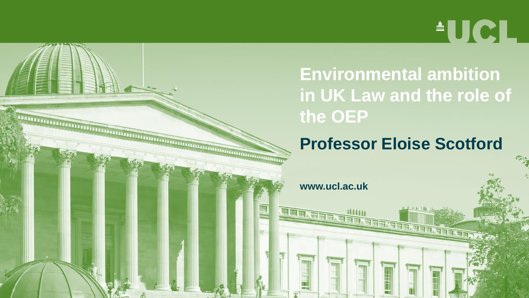

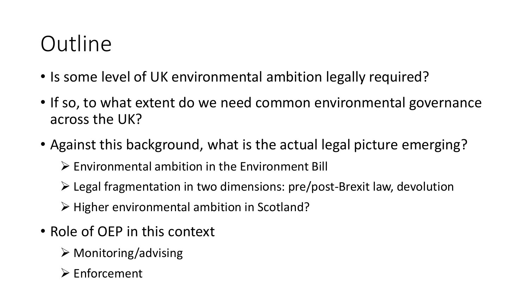### **Outline**

- Is some level of UK environmental ambition legally required?
- If so, to what extent do we need common environmental governance across the UK?
- Against this background, what is the actual legal picture emerging?
	- $\triangleright$  Environmental ambition in the Environment Bill
	- ➢ Legal fragmentation in two dimensions: pre/post-Brexit law, devolution
	- ➢ Higher environmental ambition in Scotland?
- Role of OEP in this context
	- $\triangleright$  Monitoring/advising
	- ➢ Enforcement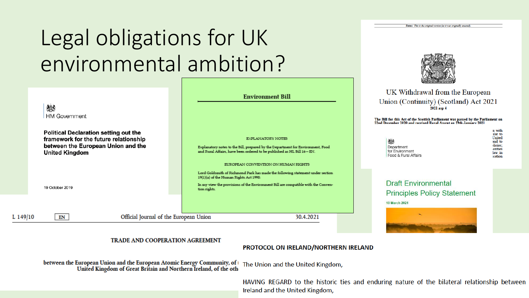

#### **TRADE AND COOPERATION AGREEMENT**

#### PROTOCOL ON IRELAND/NORTHERN IRELAND

between the European Union and the European Atomic Energy Community, of the United Kingdom of Great Britain and Northern Ireland, of the oth The Union and the United Kingdom,

> HAVING REGARD to the historic ties and enduring nature of the bilateral relationship between Ireland and the United Kingdom,

Status: This is the original version (as it was originally enacted).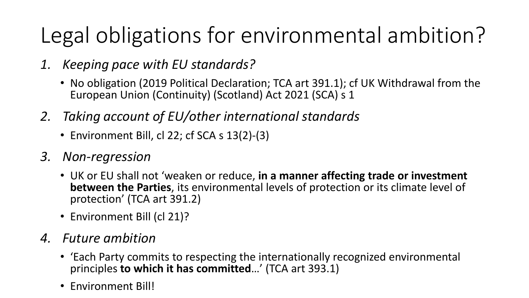## Legal obligations for environmental ambition?

- *1. Keeping pace with EU standards?*
	- No obligation (2019 Political Declaration; TCA art 391.1); cf UK Withdrawal from the European Union (Continuity) (Scotland) Act 2021 (SCA) s 1
- *2. Taking account of EU/other international standards*
	- Environment Bill, cl 22; cf SCA s 13(2)-(3)
- *3. Non-regression*
	- UK or EU shall not 'weaken or reduce, **in a manner affecting trade or investment between the Parties**, its environmental levels of protection or its climate level of protection' (TCA art 391.2)
	- Environment Bill (cl 21)?

### *4. Future ambition*

- 'Each Party commits to respecting the internationally recognized environmental principles **to which it has committed**…' (TCA art 393.1)
- Environment Bill!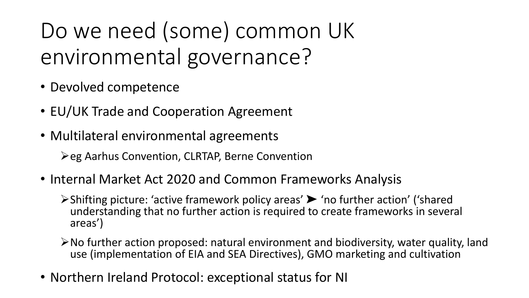Do we need (some) common UK environmental governance?

- Devolved competence
- EU/UK Trade and Cooperation Agreement
- Multilateral environmental agreements

➢eg Aarhus Convention, CLRTAP, Berne Convention

• Internal Market Act 2020 and Common Frameworks Analysis

➢Shifting picture: 'active framework policy areas' ➤ 'no further action' ('shared understanding that no further action is required to create frameworks in several areas')

- ➢No further action proposed: natural environment and biodiversity, water quality, land use (implementation of EIA and SEA Directives), GMO marketing and cultivation
- Northern Ireland Protocol: exceptional status for NI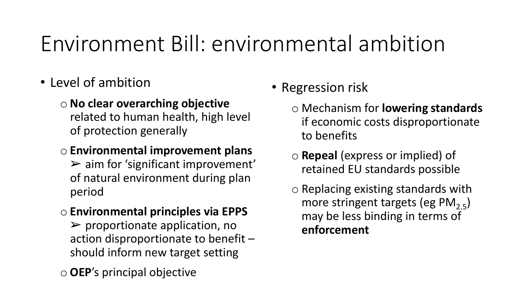### Environment Bill: environmental ambition

- Level of ambition
	- o **No clear overarching objective** related to human health, high level of protection generally
	- o **Environmental improvement plans** 
		- $\triangleright$  aim for 'significant improvement' of natural environment during plan period
	- o **Environmental principles via EPPS** 
		- $\triangleright$  proportionate application, no action disproportionate to benefit – should inform new target setting
	- o **OEP**'s principal objective
- Regression risk
	- o Mechanism for **lowering standards**  if economic costs disproportionate to benefits
	- o **Repeal** (express or implied) of retained EU standards possible
	- o Replacing existing standards with more stringent targets (eg PM<sub>2.5</sub>) may be less binding in terms of **enforcement**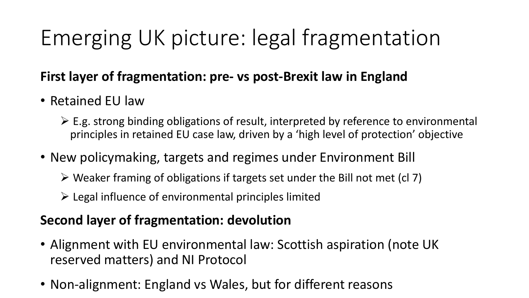## Emerging UK picture: legal fragmentation

### **First layer of fragmentation: pre- vs post-Brexit law in England**

- Retained EU law
	- $\triangleright$  E.g. strong binding obligations of result, interpreted by reference to environmental principles in retained EU case law, driven by a 'high level of protection' objective
- New policymaking, targets and regimes under Environment Bill
	- $\triangleright$  Weaker framing of obligations if targets set under the Bill not met (cl 7)
	- ➢ Legal influence of environmental principles limited

### **Second layer of fragmentation: devolution**

- Alignment with EU environmental law: Scottish aspiration (note UK reserved matters) and NI Protocol
- Non-alignment: England vs Wales, but for different reasons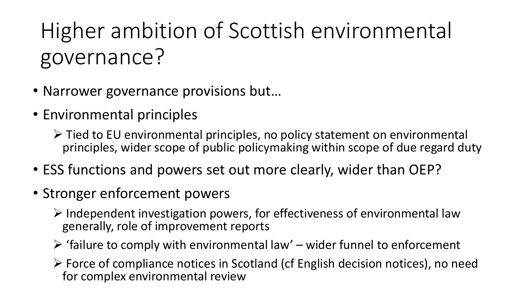Higher ambition of Scottish environmental governance?

- Narrower governance provisions but…
- Environmental principles

➢ Tied to EU environmental principles, no policy statement on environmental principles, wider scope of public policymaking within scope of due regard duty

- ESS functions and powers set out more clearly, wider than OEP?
- Stronger enforcement powers
	- ➢ Independent investigation powers, for effectiveness of environmental law generally, role of improvement reports
	- $\triangleright$  'failure to comply with environmental law' wider funnel to enforcement
	- ➢ Force of compliance notices in Scotland (cf English decision notices), no need for complex environmental review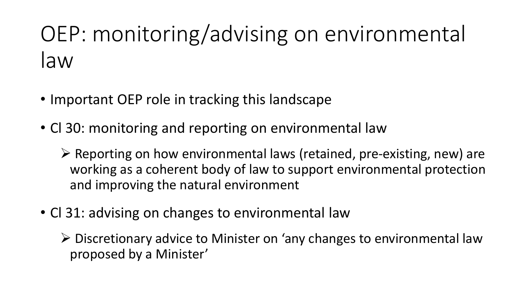### OEP: monitoring/advising on environmental law

- Important OEP role in tracking this landscape
- CI 30: monitoring and reporting on environmental law
	- ➢ Reporting on how environmental laws (retained, pre-existing, new) are working as a coherent body of law to support environmental protection and improving the natural environment
- C 31: advising on changes to environmental law

➢ Discretionary advice to Minister on 'any changes to environmental law proposed by a Minister'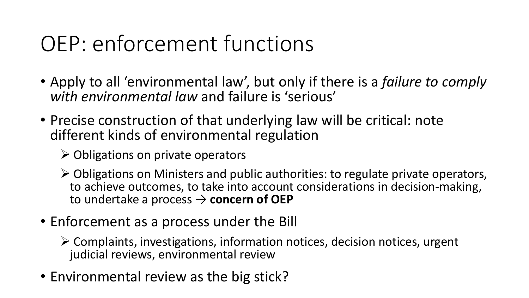### OEP: enforcement functions

- Apply to all 'environmental law', but only if there is a *failure to comply with environmental law* and failure is 'serious'
- Precise construction of that underlying law will be critical: note different kinds of environmental regulation

➢ Obligations on private operators

➢ Obligations on Ministers and public authorities: to regulate private operators, to achieve outcomes, to take into account considerations in decision-making, to undertake a process → **concern of OEP**

• Enforcement as a process under the Bill

➢ Complaints, investigations, information notices, decision notices, urgent judicial reviews, environmental review

• Environmental review as the big stick?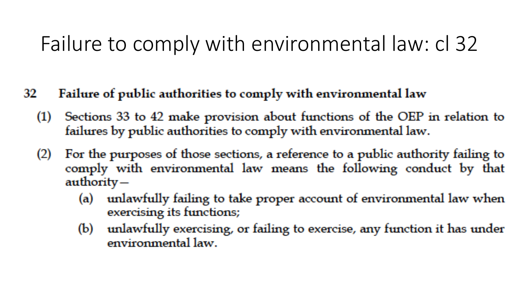### Failure to comply with environmental law: cl 32

- Failure of public authorities to comply with environmental law 32
	- Sections 33 to 42 make provision about functions of the OEP in relation to  $(1)$ failures by public authorities to comply with environmental law.
	- For the purposes of those sections, a reference to a public authority failing to  $(2)$ comply with environmental law means the following conduct by that  $\text{authority} -$ 
		- (a) unlawfully failing to take proper account of environmental law when exercising its functions;
		- (b) unlawfully exercising, or failing to exercise, any function it has under environmental law.